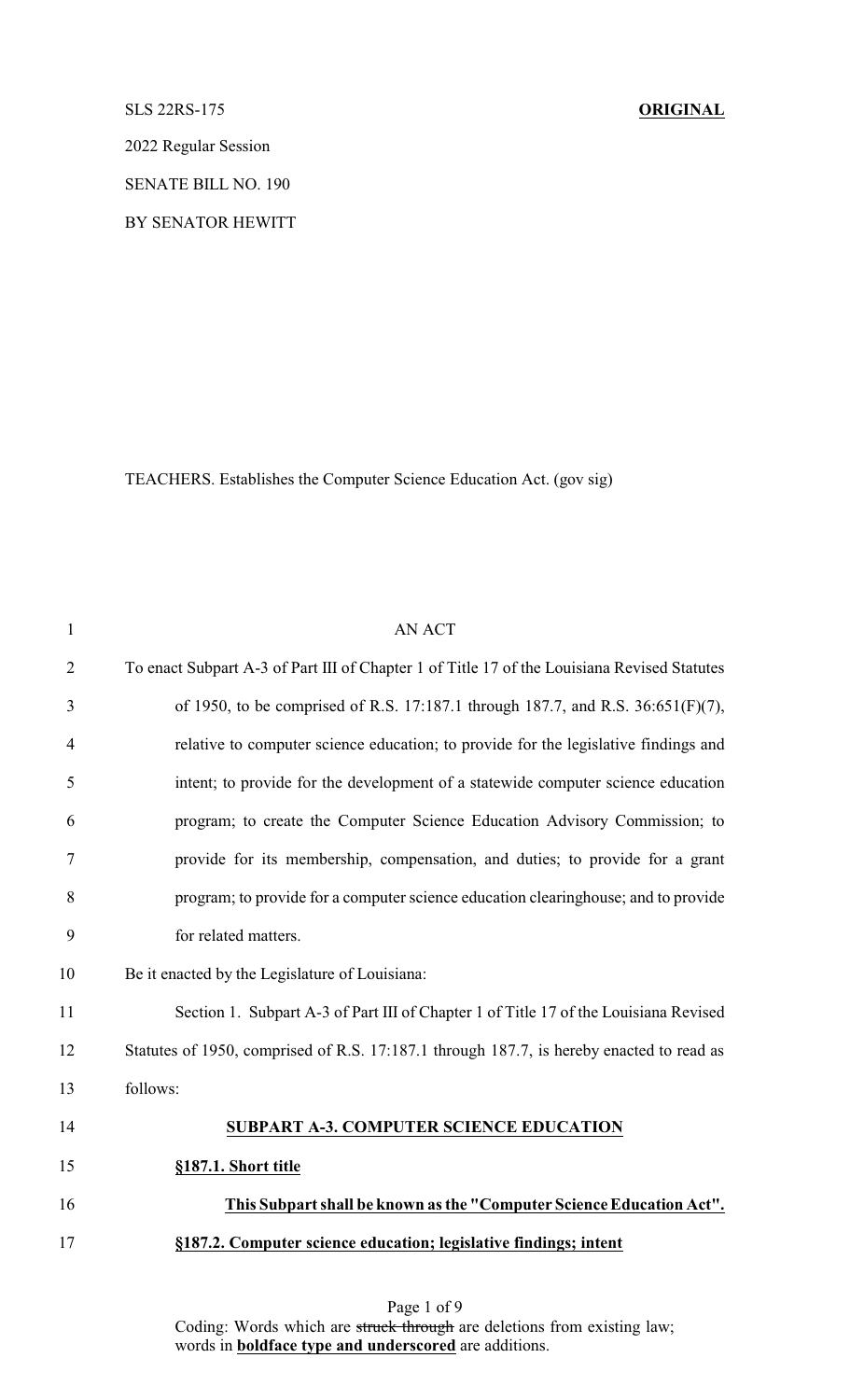SLS 22RS-175 **ORIGINAL**

2022 Regular Session

SENATE BILL NO. 190

BY SENATOR HEWITT

TEACHERS. Establishes the Computer Science Education Act. (gov sig)

| $\mathbf{1}$   | <b>AN ACT</b>                                                                               |
|----------------|---------------------------------------------------------------------------------------------|
| $\overline{2}$ | To enact Subpart A-3 of Part III of Chapter 1 of Title 17 of the Louisiana Revised Statutes |
| 3              | of 1950, to be comprised of R.S. 17:187.1 through 187.7, and R.S. 36:651(F)(7),             |
| 4              | relative to computer science education; to provide for the legislative findings and         |
| 5              | intent; to provide for the development of a statewide computer science education            |
| 6              | program; to create the Computer Science Education Advisory Commission; to                   |
| 7              | provide for its membership, compensation, and duties; to provide for a grant                |
| 8              | program; to provide for a computer science education clearinghouse; and to provide          |
| 9              | for related matters.                                                                        |
| 10             | Be it enacted by the Legislature of Louisiana:                                              |
| 11             | Section 1. Subpart A-3 of Part III of Chapter 1 of Title 17 of the Louisiana Revised        |
| 12             | Statutes of 1950, comprised of R.S. 17:187.1 through 187.7, is hereby enacted to read as    |
| 13             | follows:                                                                                    |
| 14             | <b>SUBPART A-3. COMPUTER SCIENCE EDUCATION</b>                                              |
| 15             | §187.1. Short title                                                                         |
| 16             | This Subpart shall be known as the "Computer Science Education Act".                        |
| 17             | §187.2. Computer science education; legislative findings; intent                            |
|                |                                                                                             |

Page 1 of 9 Coding: Words which are struck through are deletions from existing law; words in **boldface type and underscored** are additions.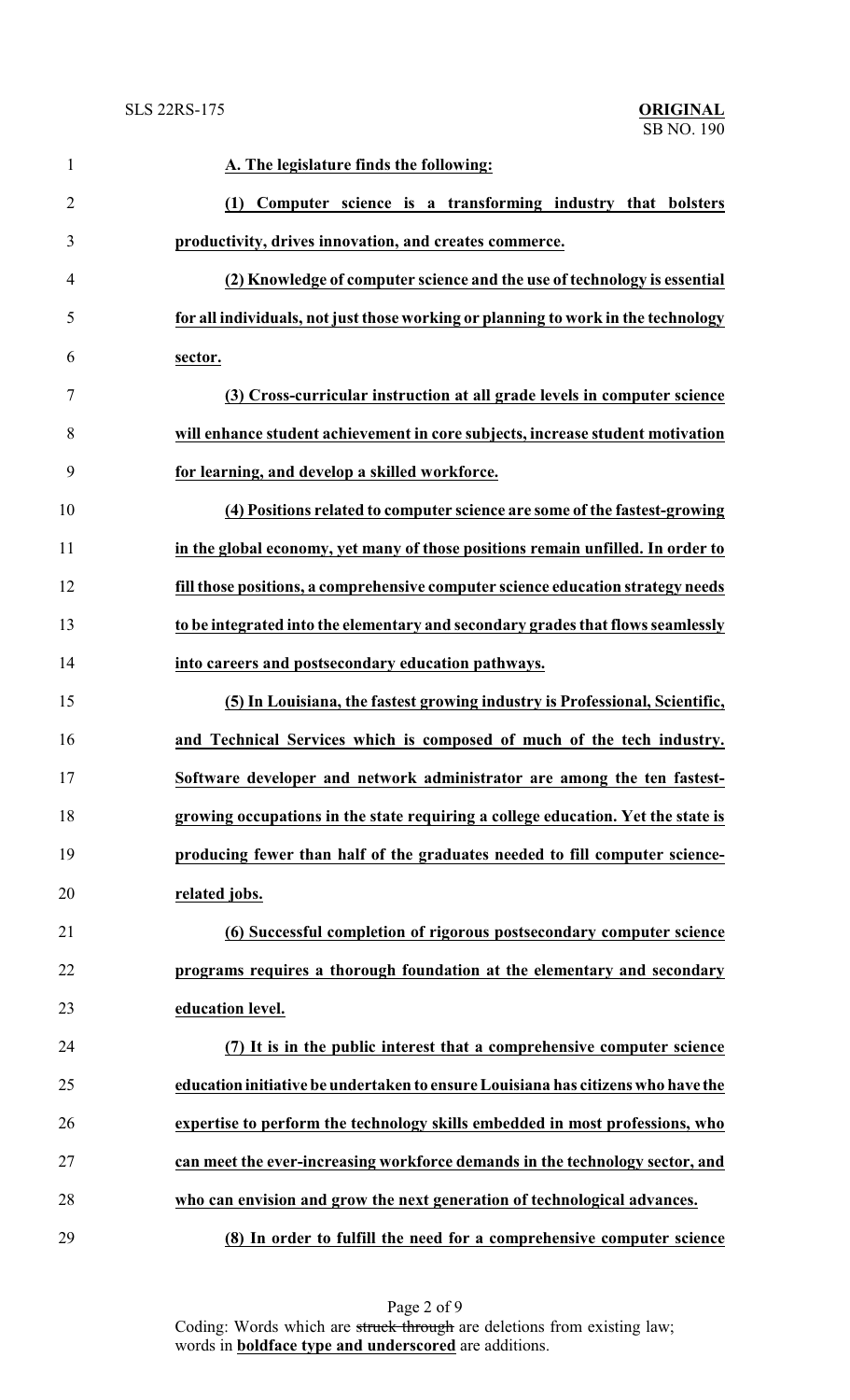| $\mathbf{1}$   | A. The legislature finds the following:                                           |
|----------------|-----------------------------------------------------------------------------------|
| $\overline{2}$ | (1) Computer science is a transforming industry that bolsters                     |
| 3              | productivity, drives innovation, and creates commerce.                            |
| $\overline{4}$ | (2) Knowledge of computer science and the use of technology is essential          |
| 5              | for all individuals, not just those working or planning to work in the technology |
| 6              | sector.                                                                           |
| $\tau$         | (3) Cross-curricular instruction at all grade levels in computer science          |
| 8              | will enhance student achievement in core subjects, increase student motivation    |
| 9              | for learning, and develop a skilled workforce.                                    |
| 10             | (4) Positions related to computer science are some of the fastest-growing         |
| 11             | in the global economy, yet many of those positions remain unfilled. In order to   |
| 12             | fill those positions, a comprehensive computer science education strategy needs   |
| 13             | to be integrated into the elementary and secondary grades that flows seamlessly   |
| 14             | into careers and postsecondary education pathways.                                |
| 15             | (5) In Louisiana, the fastest growing industry is Professional, Scientific,       |
| 16             | and Technical Services which is composed of much of the tech industry.            |
| 17             | Software developer and network administrator are among the ten fastest-           |
| 18             | growing occupations in the state requiring a college education. Yet the state is  |
| 19             | producing fewer than half of the graduates needed to fill computer science-       |
| 20             | related jobs.                                                                     |
| 21             | (6) Successful completion of rigorous postsecondary computer science              |
| 22             | programs requires a thorough foundation at the elementary and secondary           |
| 23             | education level.                                                                  |
| 24             | (7) It is in the public interest that a comprehensive computer science            |
| 25             | education initiative be undertaken to ensure Louisiana has citizens who have the  |
| 26             | expertise to perform the technology skills embedded in most professions, who      |
| 27             | can meet the ever-increasing workforce demands in the technology sector, and      |
| 28             | who can envision and grow the next generation of technological advances.          |
| 29             | (8) In order to fulfill the need for a comprehensive computer science             |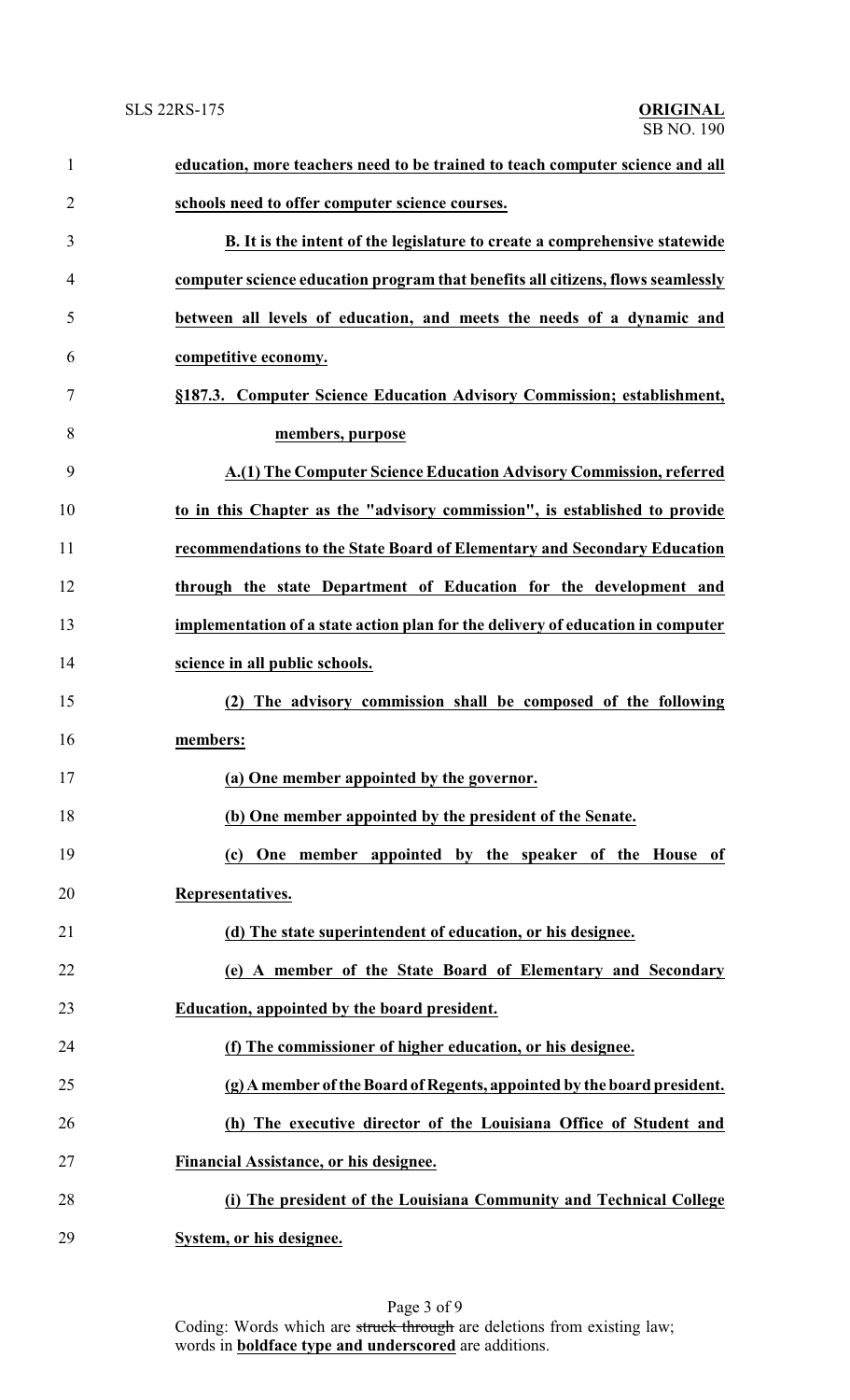| $\mathbf{1}$   | education, more teachers need to be trained to teach computer science and all   |
|----------------|---------------------------------------------------------------------------------|
| $\overline{2}$ | schools need to offer computer science courses.                                 |
| 3              | B. It is the intent of the legislature to create a comprehensive statewide      |
| 4              | computer science education program that benefits all citizens, flows seamlessly |
| 5              | between all levels of education, and meets the needs of a dynamic and           |
| 6              | competitive economy.                                                            |
| 7              | §187.3. Computer Science Education Advisory Commission; establishment,          |
| 8              | members, purpose                                                                |
| 9              | A.(1) The Computer Science Education Advisory Commission, referred              |
| 10             | to in this Chapter as the "advisory commission", is established to provide      |
| 11             | recommendations to the State Board of Elementary and Secondary Education        |
| 12             | through the state Department of Education for the development and               |
| 13             | implementation of a state action plan for the delivery of education in computer |
| 14             | science in all public schools.                                                  |
| 15             | (2) The advisory commission shall be composed of the following                  |
| 16             | members:                                                                        |
| 17             | (a) One member appointed by the governor.                                       |
| 18             | (b) One member appointed by the president of the Senate.                        |
| 19             | (c) One member appointed by the speaker of the House of                         |
| 20             | Representatives.                                                                |
| 21             | (d) The state superintendent of education, or his designee.                     |
| 22             | (e) A member of the State Board of Elementary and Secondary                     |
| 23             | <b>Education, appointed by the board president.</b>                             |
| 24             | (f) The commissioner of higher education, or his designee.                      |
| 25             | (g) A member of the Board of Regents, appointed by the board president.         |
| 26             | (h) The executive director of the Louisiana Office of Student and               |
| 27             | Financial Assistance, or his designee.                                          |
| 28             | (i) The president of the Louisiana Community and Technical College              |
| 29             | System, or his designee.                                                        |

Page 3 of 9 Coding: Words which are struck through are deletions from existing law; words in **boldface type and underscored** are additions.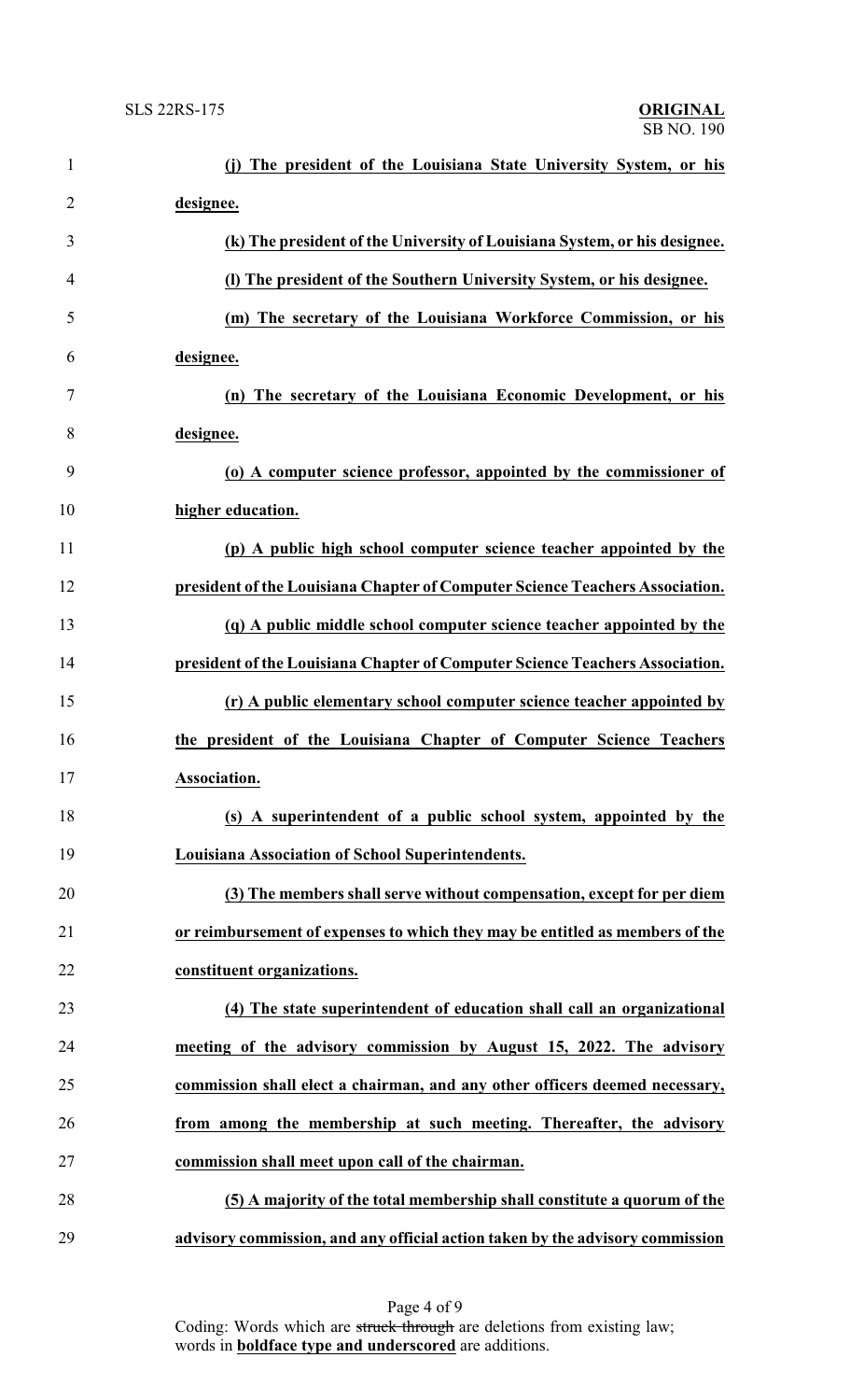| $\mathbf{1}$   | The president of the Louisiana State University System, or his                |
|----------------|-------------------------------------------------------------------------------|
| $\overline{2}$ | designee.                                                                     |
| 3              | (k) The president of the University of Louisiana System, or his designee.     |
| 4              | (I) The president of the Southern University System, or his designee.         |
| 5              | (m) The secretary of the Louisiana Workforce Commission, or his               |
| 6              | designee.                                                                     |
| 7              | (n) The secretary of the Louisiana Economic Development, or his               |
| 8              | designee.                                                                     |
| 9              | (o) A computer science professor, appointed by the commissioner of            |
| 10             | higher education.                                                             |
| 11             | (p) A public high school computer science teacher appointed by the            |
| 12             | president of the Louisiana Chapter of Computer Science Teachers Association.  |
| 13             | (q) A public middle school computer science teacher appointed by the          |
| 14             | president of the Louisiana Chapter of Computer Science Teachers Association.  |
| 15             | (r) A public elementary school computer science teacher appointed by          |
| 16             | the president of the Louisiana Chapter of Computer Science Teachers           |
| 17             | Association.                                                                  |
| 18             | (s) A superintendent of a public school system, appointed by the              |
| 19             | Louisiana Association of School Superintendents.                              |
| 20             | (3) The members shall serve without compensation, except for per diem         |
| 21             | or reimbursement of expenses to which they may be entitled as members of the  |
| 22             | constituent organizations.                                                    |
| 23             | (4) The state superintendent of education shall call an organizational        |
| 24             | meeting of the advisory commission by August 15, 2022. The advisory           |
| 25             | commission shall elect a chairman, and any other officers deemed necessary,   |
| 26             | from among the membership at such meeting. Thereafter, the advisory           |
| 27             | commission shall meet upon call of the chairman.                              |
| 28             | (5) A majority of the total membership shall constitute a quorum of the       |
| 29             | advisory commission, and any official action taken by the advisory commission |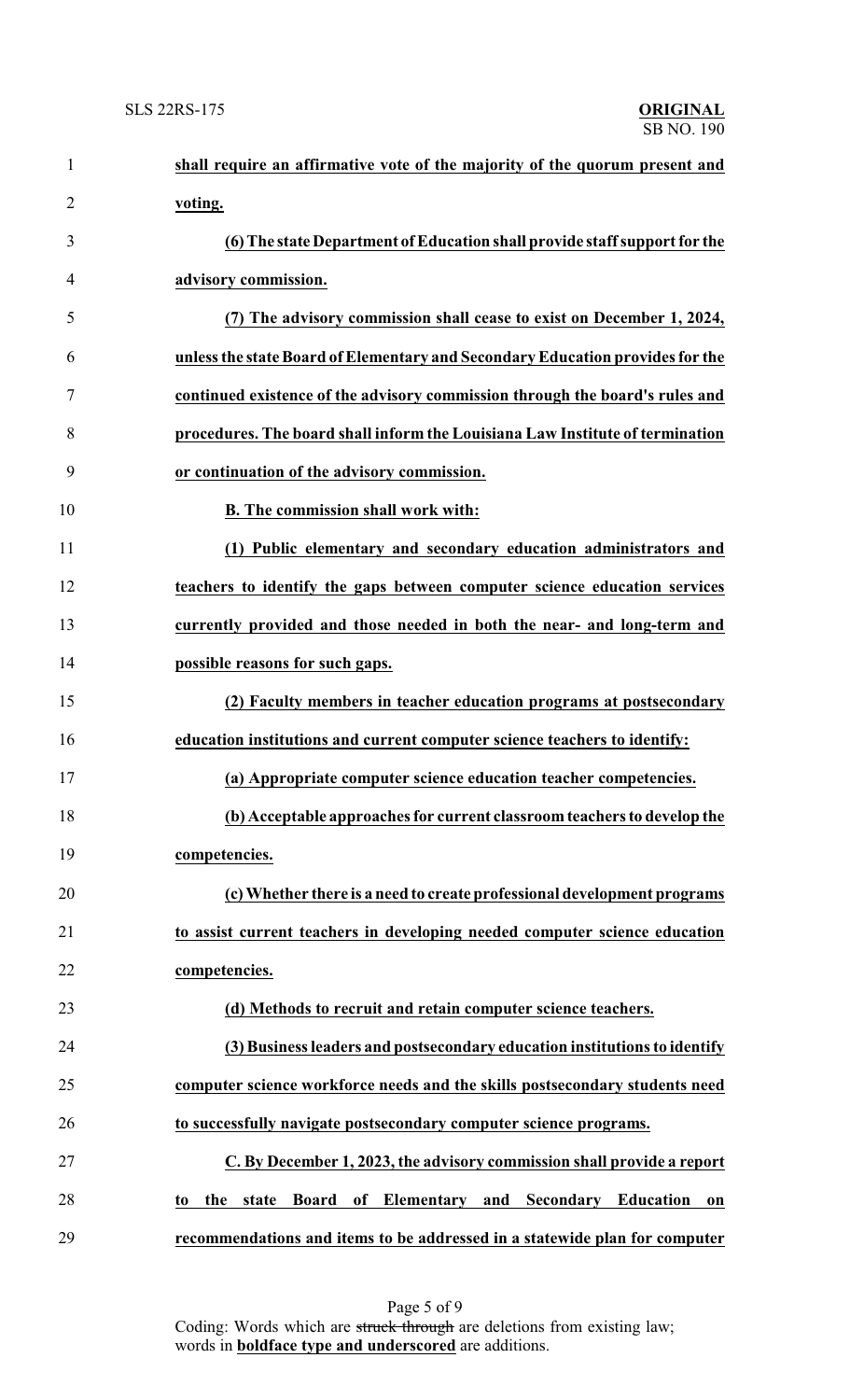| $\mathbf{1}$   | shall require an affirmative vote of the majority of the quorum present and          |
|----------------|--------------------------------------------------------------------------------------|
| $\overline{2}$ | voting.                                                                              |
| 3              | (6) The state Department of Education shall provide staff support for the            |
| 4              | advisory commission.                                                                 |
| 5              | (7) The advisory commission shall cease to exist on December 1, 2024,                |
| 6              | unless the state Board of Elementary and Secondary Education provides for the        |
| 7              | continued existence of the advisory commission through the board's rules and         |
| 8              | procedures. The board shall inform the Louisiana Law Institute of termination        |
| 9              | or continuation of the advisory commission.                                          |
| 10             | <b>B.</b> The commission shall work with:                                            |
| 11             | (1) Public elementary and secondary education administrators and                     |
| 12             | teachers to identify the gaps between computer science education services            |
| 13             | currently provided and those needed in both the near- and long-term and              |
| 14             | possible reasons for such gaps.                                                      |
| 15             | (2) Faculty members in teacher education programs at postsecondary                   |
| 16             | education institutions and current computer science teachers to identify:            |
| 17             | (a) Appropriate computer science education teacher competencies.                     |
| 18             | (b) Acceptable approaches for current classroom teachers to develop the              |
| 19             | competencies.                                                                        |
| 20             | (c) Whether there is a need to create professional development programs              |
| 21             | to assist current teachers in developing needed computer science education           |
| 22             | competencies.                                                                        |
| 23             | (d) Methods to recruit and retain computer science teachers.                         |
| 24             | (3) Business leaders and postsecondary education institutions to identify            |
| 25             | computer science workforce needs and the skills postsecondary students need          |
| 26             | to successfully navigate postsecondary computer science programs.                    |
| 27             | C. By December 1, 2023, the advisory commission shall provide a report               |
| 28             | of Elementary<br>and Secondary Education<br><b>Board</b><br>the<br>state<br>to<br>0n |
| 29             | recommendations and items to be addressed in a statewide plan for computer           |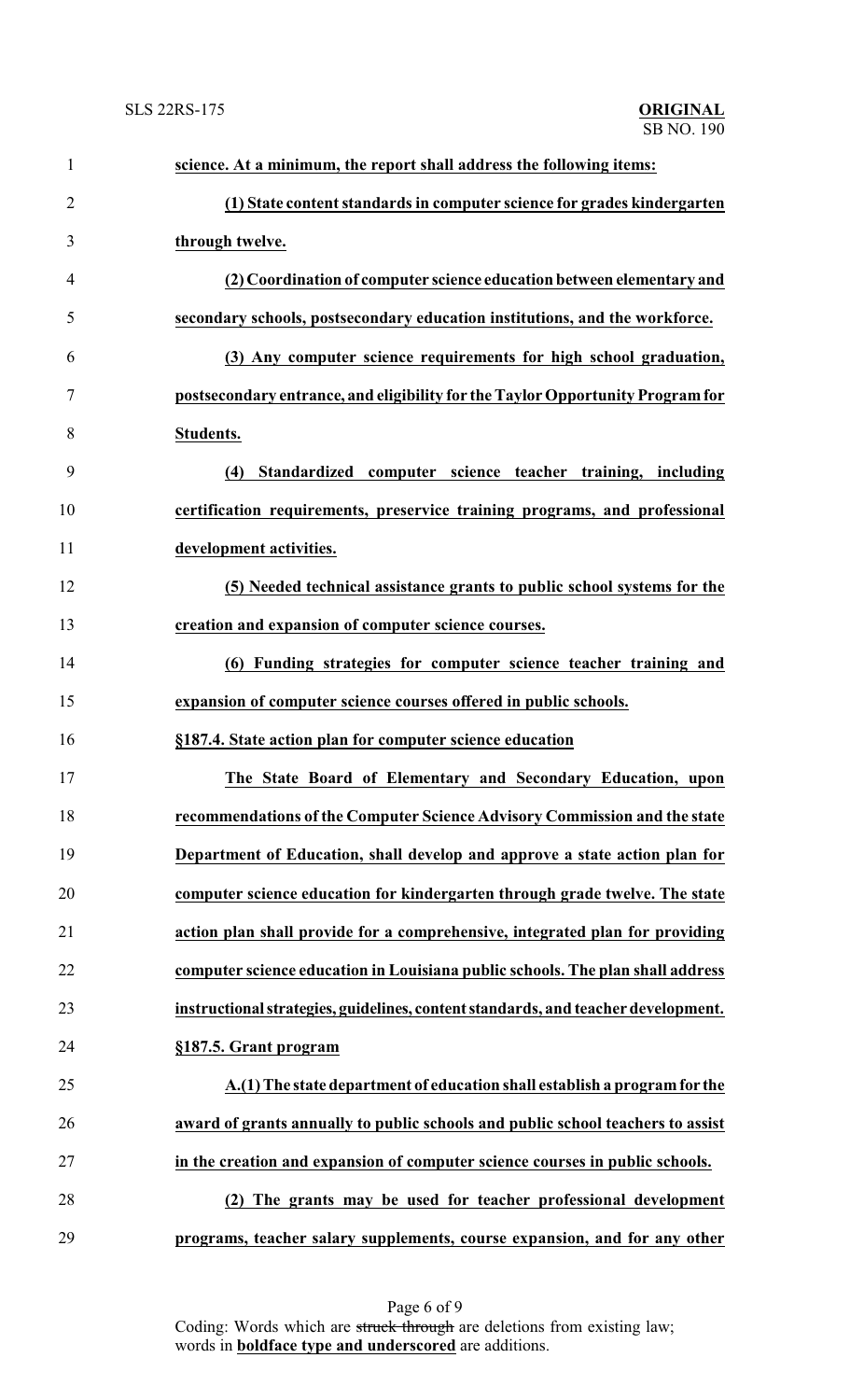| $\mathbf{1}$   | science. At a minimum, the report shall address the following items:              |
|----------------|-----------------------------------------------------------------------------------|
| $\overline{2}$ | (1) State content standards in computer science for grades kindergarten           |
| 3              | through twelve.                                                                   |
| 4              | (2) Coordination of computer science education between elementary and             |
| 5              | secondary schools, postsecondary education institutions, and the workforce.       |
| 6              | (3) Any computer science requirements for high school graduation,                 |
| 7              | postsecondary entrance, and eligibility for the Taylor Opportunity Program for    |
| 8              | Students.                                                                         |
| 9              | (4) Standardized computer science teacher training, including                     |
| 10             | certification requirements, preservice training programs, and professional        |
| 11             | development activities.                                                           |
| 12             | (5) Needed technical assistance grants to public school systems for the           |
| 13             | creation and expansion of computer science courses.                               |
| 14             | (6) Funding strategies for computer science teacher training and                  |
| 15             | expansion of computer science courses offered in public schools.                  |
| 16             | §187.4. State action plan for computer science education                          |
| 17             | The State Board of Elementary and Secondary Education, upon                       |
| 18             | recommendations of the Computer Science Advisory Commission and the state         |
| 19             | Department of Education, shall develop and approve a state action plan for        |
| 20             | computer science education for kindergarten through grade twelve. The state       |
| 21             | action plan shall provide for a comprehensive, integrated plan for providing      |
| 22             | computer science education in Louisiana public schools. The plan shall address    |
| 23             | instructional strategies, guidelines, content standards, and teacher development. |
| 24             | §187.5. Grant program                                                             |
| 25             | A.(1) The state department of education shall establish a program for the         |
| 26             | award of grants annually to public schools and public school teachers to assist   |
| 27             | in the creation and expansion of computer science courses in public schools.      |
| 28             | (2) The grants may be used for teacher professional development                   |
| 29             | programs, teacher salary supplements, course expansion, and for any other         |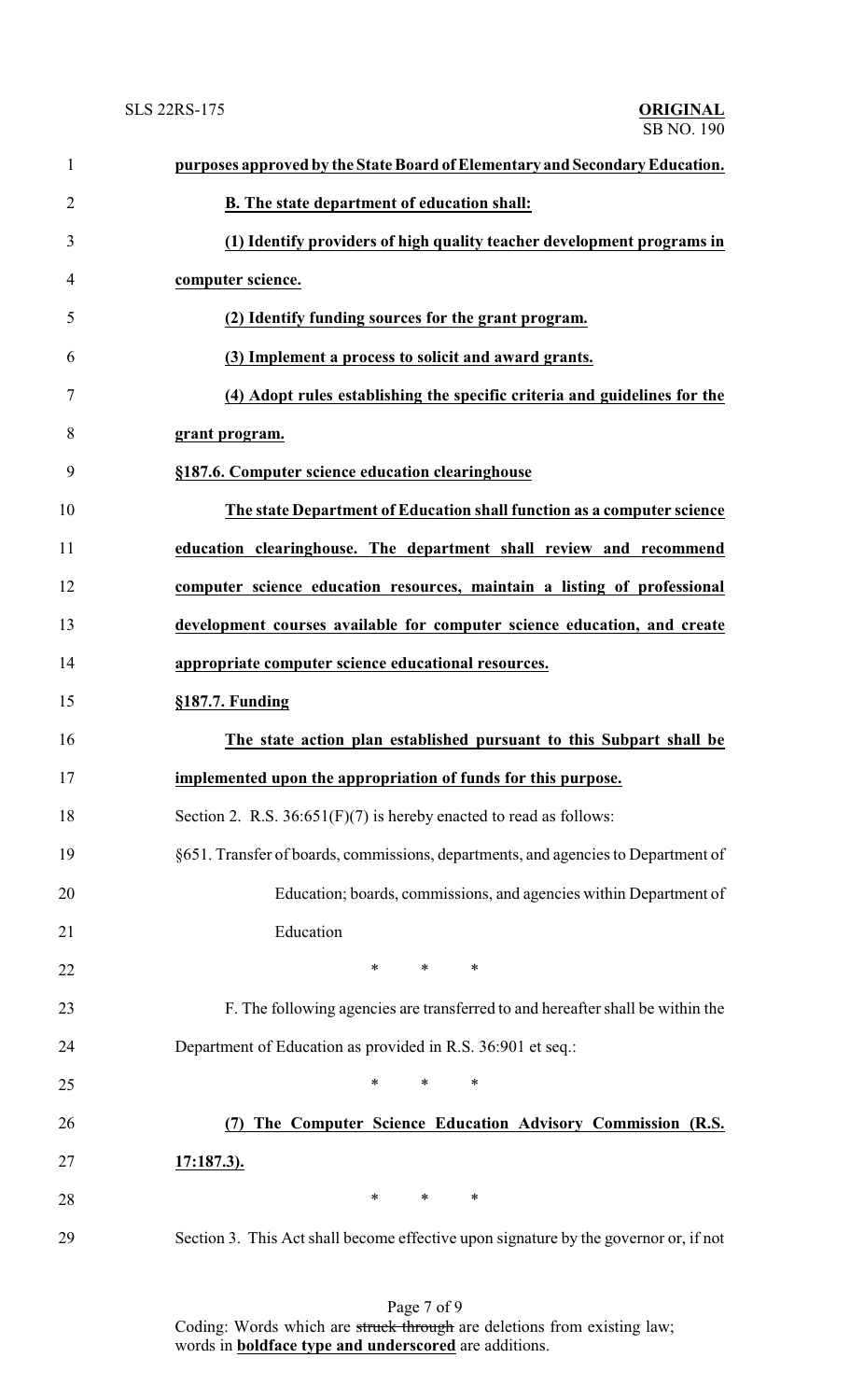| $\mathbf{1}$   | purposes approved by the State Board of Elementary and Secondary Education.          |
|----------------|--------------------------------------------------------------------------------------|
| $\overline{c}$ | B. The state department of education shall:                                          |
| 3              | (1) Identify providers of high quality teacher development programs in               |
| 4              | computer science.                                                                    |
| 5              | (2) Identify funding sources for the grant program.                                  |
| 6              | (3) Implement a process to solicit and award grants.                                 |
| 7              | (4) Adopt rules establishing the specific criteria and guidelines for the            |
| 8              | grant program.                                                                       |
| 9              | §187.6. Computer science education clearinghouse                                     |
| 10             | The state Department of Education shall function as a computer science               |
| 11             | education clearinghouse. The department shall review and recommend                   |
| 12             | computer science education resources, maintain a listing of professional             |
| 13             | development courses available for computer science education, and create             |
| 14             | appropriate computer science educational resources.                                  |
| 15             | §187.7. Funding                                                                      |
| 16             | The state action plan established pursuant to this Subpart shall be                  |
| 17             | implemented upon the appropriation of funds for this purpose.                        |
| 18             | Section 2. R.S. $36:651(F)(7)$ is hereby enacted to read as follows:                 |
| 19             | §651. Transfer of boards, commissions, departments, and agencies to Department of    |
| 20             | Education; boards, commissions, and agencies within Department of                    |
| 21             | Education                                                                            |
| 22             | $\ast$<br>*<br>∗                                                                     |
| 23             | F. The following agencies are transferred to and hereafter shall be within the       |
| 24             | Department of Education as provided in R.S. 36:901 et seq.:                          |
| 25             | *<br>$\ast$<br>∗                                                                     |
| 26             | The Computer Science Education Advisory Commission (R.S.                             |
| 27             | <u>17:187.3).</u>                                                                    |
| 28             | $\ast$<br>*<br>∗                                                                     |
| 29             | Section 3. This Act shall become effective upon signature by the governor or, if not |

Page 7 of 9 Coding: Words which are struck through are deletions from existing law; words in **boldface type and underscored** are additions.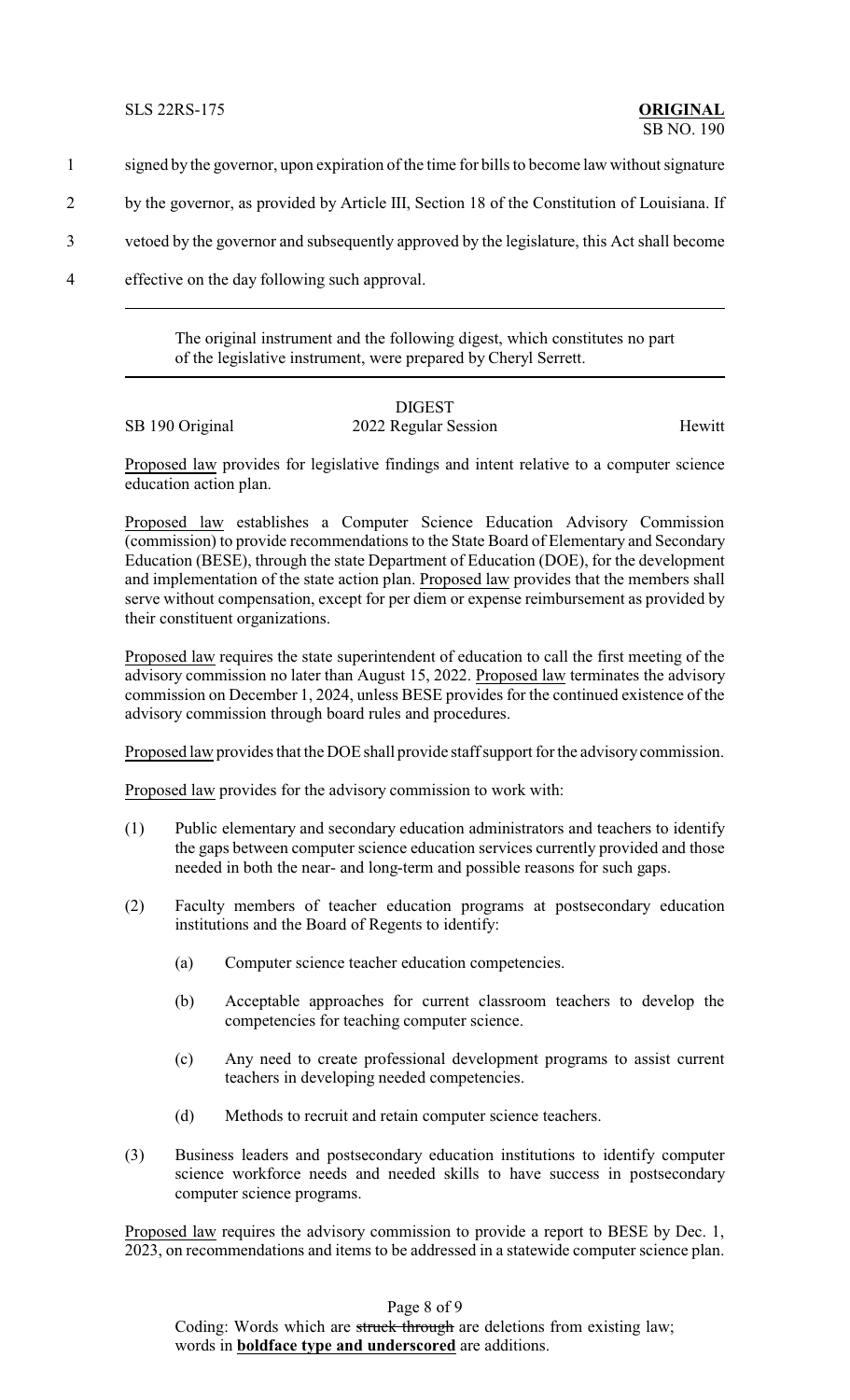- 1 signed by the governor, upon expiration of the time for bills to become law without signature
- 2 by the governor, as provided by Article III, Section 18 of the Constitution of Louisiana. If
- 3 vetoed by the governor and subsequently approved by the legislature, this Act shall become
- 4 effective on the day following such approval.

The original instrument and the following digest, which constitutes no part of the legislative instrument, were prepared by Cheryl Serrett.

## DIGEST

SB 190 Original 2022 Regular Session Hewitt

Proposed law provides for legislative findings and intent relative to a computer science education action plan.

Proposed law establishes a Computer Science Education Advisory Commission (commission) to provide recommendations to the State Board of Elementary and Secondary Education (BESE), through the state Department of Education (DOE), for the development and implementation of the state action plan. Proposed law provides that the members shall serve without compensation, except for per diem or expense reimbursement as provided by their constituent organizations.

Proposed law requires the state superintendent of education to call the first meeting of the advisory commission no later than August 15, 2022. Proposed law terminates the advisory commission on December 1, 2024, unless BESE provides for the continued existence of the advisory commission through board rules and procedures.

Proposed law provides that the DOE shall provide staff support for the advisory commission.

Proposed law provides for the advisory commission to work with:

- (1) Public elementary and secondary education administrators and teachers to identify the gaps between computer science education services currently provided and those needed in both the near- and long-term and possible reasons for such gaps.
- (2) Faculty members of teacher education programs at postsecondary education institutions and the Board of Regents to identify:
	- (a) Computer science teacher education competencies.
	- (b) Acceptable approaches for current classroom teachers to develop the competencies for teaching computer science.
	- (c) Any need to create professional development programs to assist current teachers in developing needed competencies.
	- (d) Methods to recruit and retain computer science teachers.
- (3) Business leaders and postsecondary education institutions to identify computer science workforce needs and needed skills to have success in postsecondary computer science programs.

Proposed law requires the advisory commission to provide a report to BESE by Dec. 1, 2023, on recommendations and items to be addressed in a statewide computer science plan.

Page 8 of 9

Coding: Words which are struck through are deletions from existing law; words in **boldface type and underscored** are additions.